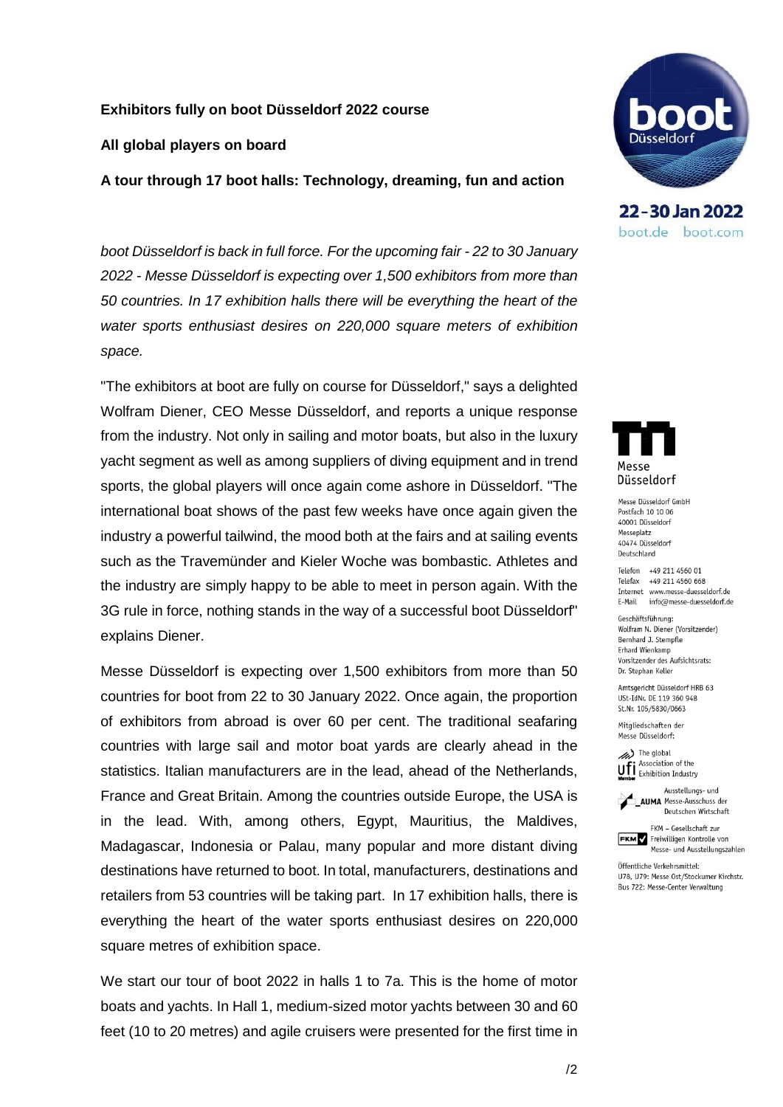### **Exhibitors fully on boot Düsseldorf 2022 course**

#### **All global players on board**

**A tour through 17 boot halls: Technology, dreaming, fun and action**

*boot Düsseldorf is back in full force. For the upcoming fair - 22 to 30 January 2022 - Messe Düsseldorf is expecting over 1,500 exhibitors from more than 50 countries. In 17 exhibition halls there will be everything the heart of the water sports enthusiast desires on 220,000 square meters of exhibition space.*

"The exhibitors at boot are fully on course for Düsseldorf," says a delighted Wolfram Diener, CEO Messe Düsseldorf, and reports a unique response from the industry. Not only in sailing and motor boats, but also in the luxury yacht segment as well as among suppliers of diving equipment and in trend sports, the global players will once again come ashore in Düsseldorf. "The international boat shows of the past few weeks have once again given the industry a powerful tailwind, the mood both at the fairs and at sailing events such as the Travemünder and Kieler Woche was bombastic. Athletes and the industry are simply happy to be able to meet in person again. With the 3G rule in force, nothing stands in the way of a successful boot Düsseldorf" explains Diener.

Messe Düsseldorf is expecting over 1,500 exhibitors from more than 50 countries for boot from 22 to 30 January 2022. Once again, the proportion of exhibitors from abroad is over 60 per cent. The traditional seafaring countries with large sail and motor boat yards are clearly ahead in the statistics. Italian manufacturers are in the lead, ahead of the Netherlands, France and Great Britain. Among the countries outside Europe, the USA is in the lead. With, among others, Egypt, Mauritius, the Maldives, Madagascar, Indonesia or Palau, many popular and more distant diving destinations have returned to boot. In total, manufacturers, destinations and retailers from 53 countries will be taking part. In 17 exhibition halls, there is everything the heart of the water sports enthusiast desires on 220,000 square metres of exhibition space.

We start our tour of boot 2022 in halls 1 to 7a. This is the home of motor boats and yachts. In Hall 1, medium-sized motor yachts between 30 and 60 feet (10 to 20 metres) and agile cruisers were presented for the first time in



22-30 Jan 2022 boot.de boot.com



Messe Düsseldorf GmbH Postfach 10 10 06 40001 Düsseldorf Messeplatz 40474 Düsseldorf Deutschland

Telefon +49 211 4560 01 Telefax +49 211 4560 668 Internet www.messe-duesseldorf.de E-Mail info@messe-duesseldorf.de

Geschäftsführung: Wolfram N. Diener (Vorsitzender) Bernhard J. Stempfle Erhard Wienkamp Vorsitzender des Aufsichtsrats: Dr. Stephan Keller

Amtsgericht Düsseldorf HRB 63 USt-IdNr. DE 119 360 948 St.Nr. 105/5830/0663

Mitaliedschaften der Messe Düsseldorf:



Ausstellungs- und

**AUMA** Messe-Ausschuss der Deutschen Wirtschaft



Öffentliche Verkehrsmittel: U78, U79: Messe Ost/Stockumer Kirchstr. Bus 722: Messe-Center Verwaltung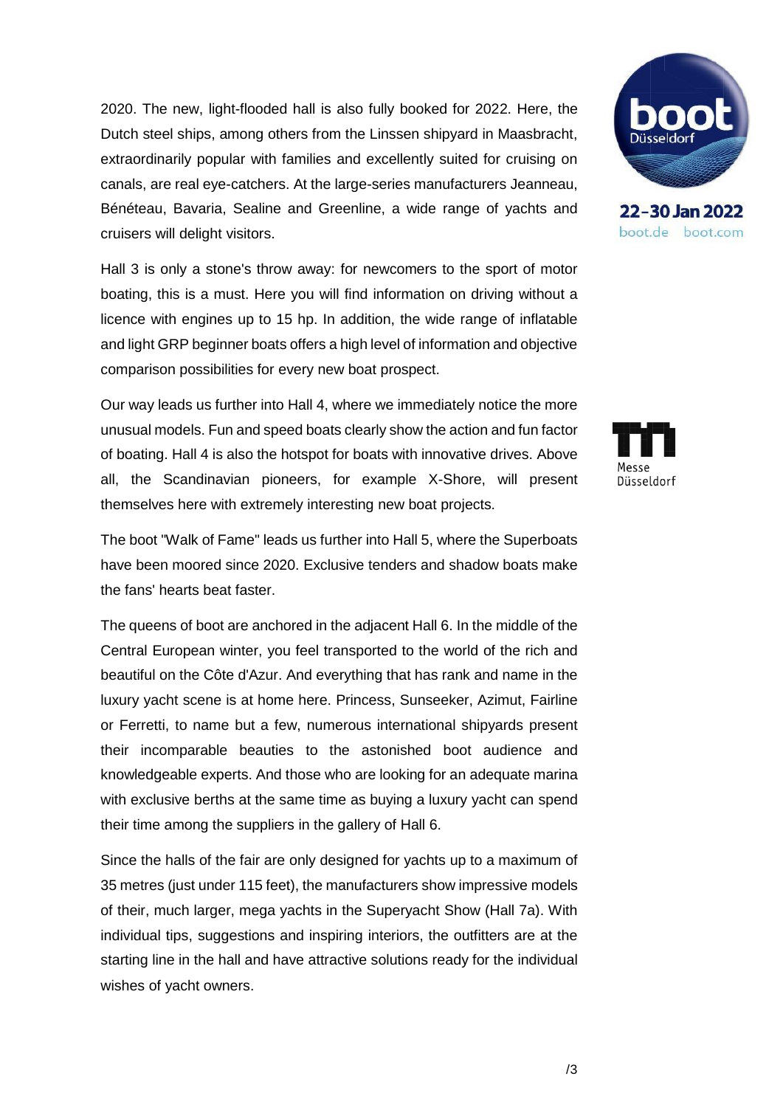2020. The new, light-flooded hall is also fully booked for 2022. Here, the Dutch steel ships, among others from the Linssen shipyard in Maasbracht, extraordinarily popular with families and excellently suited for cruising on canals, are real eye-catchers. At the large-series manufacturers Jeanneau, Bénéteau, Bavaria, Sealine and Greenline, a wide range of yachts and cruisers will delight visitors.

Hall 3 is only a stone's throw away: for newcomers to the sport of motor boating, this is a must. Here you will find information on driving without a licence with engines up to 15 hp. In addition, the wide range of inflatable and light GRP beginner boats offers a high level of information and objective comparison possibilities for every new boat prospect.

Our way leads us further into Hall 4, where we immediately notice the more unusual models. Fun and speed boats clearly show the action and fun factor of boating. Hall 4 is also the hotspot for boats with innovative drives. Above all, the Scandinavian pioneers, for example X-Shore, will present themselves here with extremely interesting new boat projects.

The boot "Walk of Fame" leads us further into Hall 5, where the Superboats have been moored since 2020. Exclusive tenders and shadow boats make the fans' hearts beat faster.

The queens of boot are anchored in the adjacent Hall 6. In the middle of the Central European winter, you feel transported to the world of the rich and beautiful on the Côte d'Azur. And everything that has rank and name in the luxury yacht scene is at home here. Princess, Sunseeker, Azimut, Fairline or Ferretti, to name but a few, numerous international shipyards present their incomparable beauties to the astonished boot audience and knowledgeable experts. And those who are looking for an adequate marina with exclusive berths at the same time as buying a luxury yacht can spend their time among the suppliers in the gallery of Hall 6.

Since the halls of the fair are only designed for yachts up to a maximum of 35 metres (just under 115 feet), the manufacturers show impressive models of their, much larger, mega yachts in the Superyacht Show (Hall 7a). With individual tips, suggestions and inspiring interiors, the outfitters are at the starting line in the hall and have attractive solutions ready for the individual wishes of yacht owners.



22-30 Jan 2022 boot.de boot.com

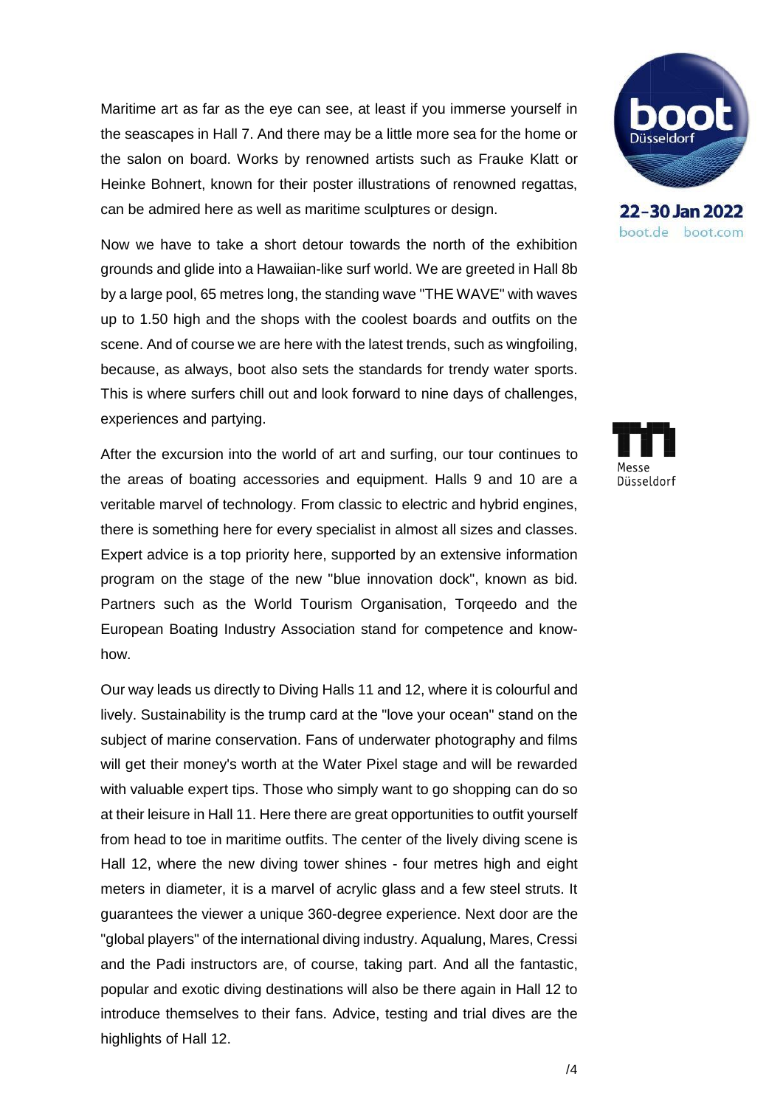Maritime art as far as the eye can see, at least if you immerse yourself in the seascapes in Hall 7. And there may be a little more sea for the home or the salon on board. Works by renowned artists such as Frauke Klatt or Heinke Bohnert, known for their poster illustrations of renowned regattas, can be admired here as well as maritime sculptures or design.

Now we have to take a short detour towards the north of the exhibition grounds and glide into a Hawaiian-like surf world. We are greeted in Hall 8b by a large pool, 65 metres long, the standing wave "THE WAVE" with waves up to 1.50 high and the shops with the coolest boards and outfits on the scene. And of course we are here with the latest trends, such as wingfoiling, because, as always, boot also sets the standards for trendy water sports. This is where surfers chill out and look forward to nine days of challenges, experiences and partying.

After the excursion into the world of art and surfing, our tour continues to the areas of boating accessories and equipment. Halls 9 and 10 are a veritable marvel of technology. From classic to electric and hybrid engines, there is something here for every specialist in almost all sizes and classes. Expert advice is a top priority here, supported by an extensive information program on the stage of the new "blue innovation dock", known as bid. Partners such as the World Tourism Organisation, Torqeedo and the European Boating Industry Association stand for competence and knowhow.

Our way leads us directly to Diving Halls 11 and 12, where it is colourful and lively. Sustainability is the trump card at the "love your ocean" stand on the subject of marine conservation. Fans of underwater photography and films will get their money's worth at the Water Pixel stage and will be rewarded with valuable expert tips. Those who simply want to go shopping can do so at their leisure in Hall 11. Here there are great opportunities to outfit yourself from head to toe in maritime outfits. The center of the lively diving scene is Hall 12, where the new diving tower shines - four metres high and eight meters in diameter, it is a marvel of acrylic glass and a few steel struts. It guarantees the viewer a unique 360-degree experience. Next door are the "global players" of the international diving industry. Aqualung, Mares, Cressi and the Padi instructors are, of course, taking part. And all the fantastic, popular and exotic diving destinations will also be there again in Hall 12 to introduce themselves to their fans. Advice, testing and trial dives are the highlights of Hall 12.



22-30 Jan 2022 boot.de boot.com

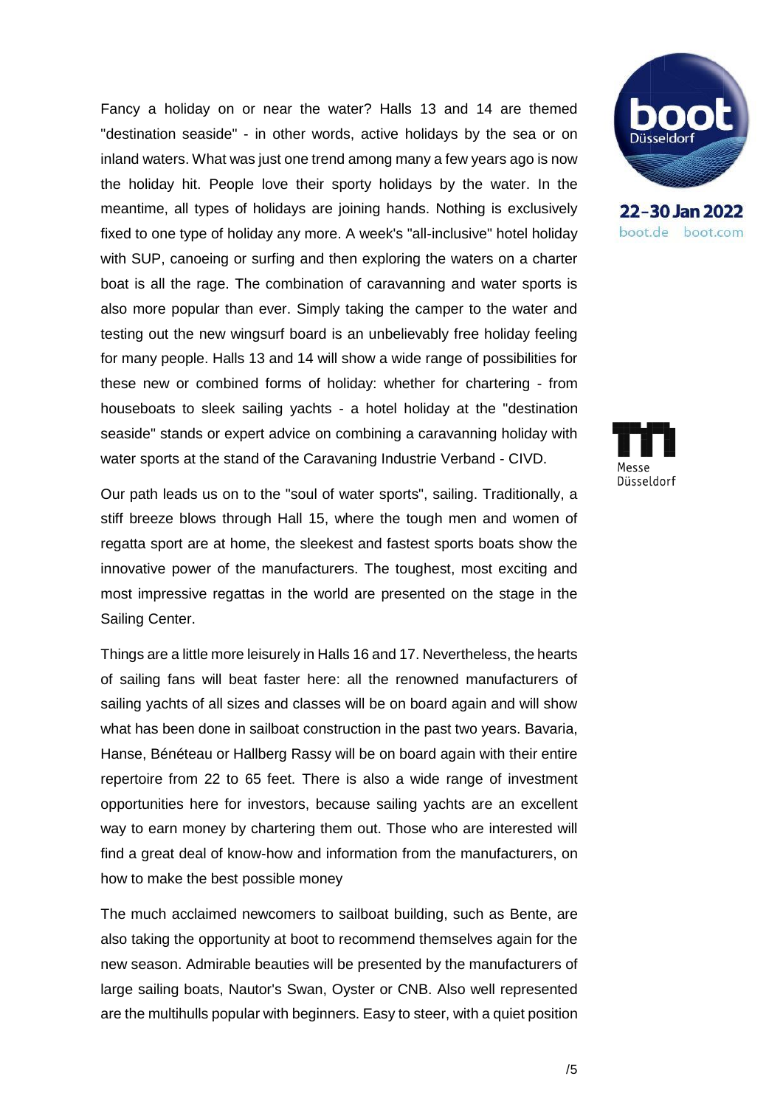Fancy a holiday on or near the water? Halls 13 and 14 are themed "destination seaside" - in other words, active holidays by the sea or on inland waters. What was just one trend among many a few years ago is now the holiday hit. People love their sporty holidays by the water. In the meantime, all types of holidays are joining hands. Nothing is exclusively fixed to one type of holiday any more. A week's "all-inclusive" hotel holiday with SUP, canoeing or surfing and then exploring the waters on a charter boat is all the rage. The combination of caravanning and water sports is also more popular than ever. Simply taking the camper to the water and testing out the new wingsurf board is an unbelievably free holiday feeling for many people. Halls 13 and 14 will show a wide range of possibilities for these new or combined forms of holiday: whether for chartering - from houseboats to sleek sailing yachts - a hotel holiday at the "destination seaside" stands or expert advice on combining a caravanning holiday with water sports at the stand of the Caravaning Industrie Verband - CIVD.

Our path leads us on to the "soul of water sports", sailing. Traditionally, a stiff breeze blows through Hall 15, where the tough men and women of regatta sport are at home, the sleekest and fastest sports boats show the innovative power of the manufacturers. The toughest, most exciting and most impressive regattas in the world are presented on the stage in the Sailing Center.

Things are a little more leisurely in Halls 16 and 17. Nevertheless, the hearts of sailing fans will beat faster here: all the renowned manufacturers of sailing yachts of all sizes and classes will be on board again and will show what has been done in sailboat construction in the past two years. Bavaria, Hanse, Bénéteau or Hallberg Rassy will be on board again with their entire repertoire from 22 to 65 feet. There is also a wide range of investment opportunities here for investors, because sailing yachts are an excellent way to earn money by chartering them out. Those who are interested will find a great deal of know-how and information from the manufacturers, on how to make the best possible money

The much acclaimed newcomers to sailboat building, such as Bente, are also taking the opportunity at boot to recommend themselves again for the new season. Admirable beauties will be presented by the manufacturers of large sailing boats, Nautor's Swan, Oyster or CNB. Also well represented are the multihulls popular with beginners. Easy to steer, with a quiet position



22-30 Jan 2022 boot.de boot.com

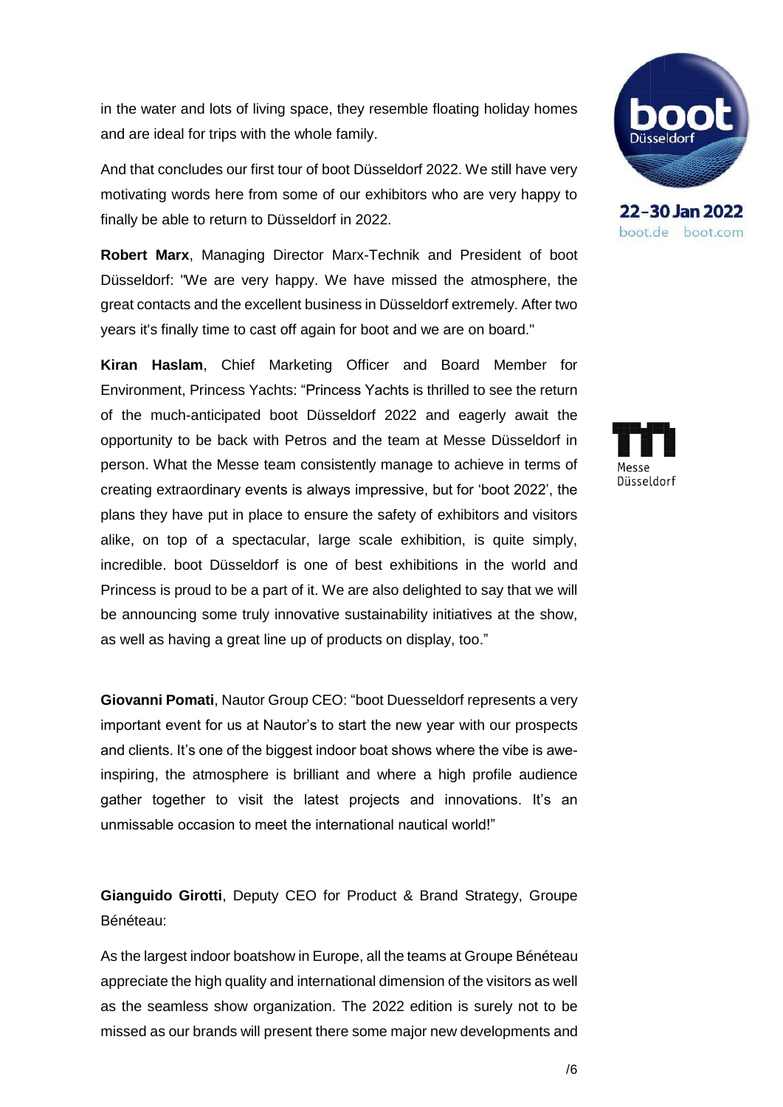in the water and lots of living space, they resemble floating holiday homes and are ideal for trips with the whole family.

And that concludes our first tour of boot Düsseldorf 2022. We still have very motivating words here from some of our exhibitors who are very happy to finally be able to return to Düsseldorf in 2022.

**Robert Marx**, Managing Director Marx-Technik and President of boot Düsseldorf: "We are very happy. We have missed the atmosphere, the great contacts and the excellent business in Düsseldorf extremely. After two years it's finally time to cast off again for boot and we are on board."

**Kiran Haslam**, Chief Marketing Officer and Board Member for Environment, Princess Yachts: "Princess Yachts is thrilled to see the return of the much-anticipated boot Düsseldorf 2022 and eagerly await the opportunity to be back with Petros and the team at Messe Düsseldorf in person. What the Messe team consistently manage to achieve in terms of creating extraordinary events is always impressive, but for 'boot 2022', the plans they have put in place to ensure the safety of exhibitors and visitors alike, on top of a spectacular, large scale exhibition, is quite simply, incredible. boot Düsseldorf is one of best exhibitions in the world and Princess is proud to be a part of it. We are also delighted to say that we will be announcing some truly innovative sustainability initiatives at the show, as well as having a great line up of products on display, too."

**Giovanni Pomati**, Nautor Group CEO: "boot Duesseldorf represents a very important event for us at Nautor's to start the new year with our prospects and clients. It's one of the biggest indoor boat shows where the vibe is aweinspiring, the atmosphere is brilliant and where a high profile audience gather together to visit the latest projects and innovations. It's an unmissable occasion to meet the international nautical world!"

**Gianguido Girotti**, Deputy CEO for Product & Brand Strategy, Groupe Bénéteau:

As the largest indoor boatshow in Europe, all the teams at Groupe Bénéteau appreciate the high quality and international dimension of the visitors as well as the seamless show organization. The 2022 edition is surely not to be missed as our brands will present there some major new developments and



boot.de boot.com